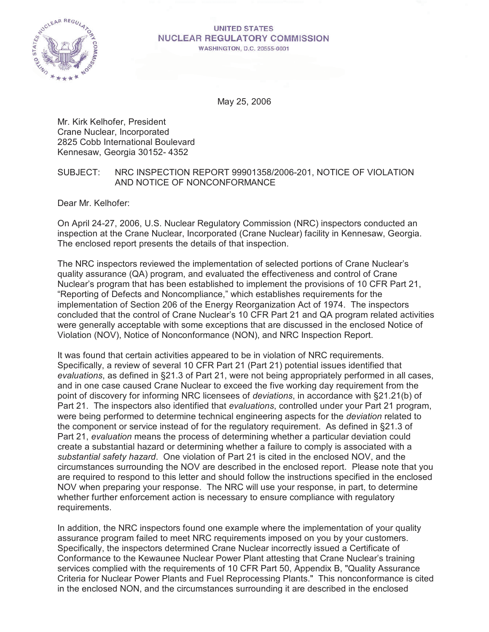

#### **UNITED STATES NUCLEAR REGULATORY COMMISSION** WASHINGTON, D.C. 20555-0001

May 25, 2006

Mr. Kirk Kelhofer, President Crane Nuclear, Incorporated 2825 Cobb International Boulevard Kennesaw, Georgia 30152- 4352

#### SUBJECT: NRC INSPECTION REPORT 99901358/2006-201, NOTICE OF VIOLATION AND NOTICE OF NONCONFORMANCE

Dear Mr. Kelhofer:

On April 24-27, 2006, U.S. Nuclear Regulatory Commission (NRC) inspectors conducted an inspection at the Crane Nuclear, Incorporated (Crane Nuclear) facility in Kennesaw, Georgia. The enclosed report presents the details of that inspection.

The NRC inspectors reviewed the implementation of selected portions of Crane Nuclear's quality assurance (QA) program, and evaluated the effectiveness and control of Crane Nuclear's program that has been established to implement the provisions of 10 CFR Part 21, "Reporting of Defects and Noncompliance," which establishes requirements for the implementation of Section 206 of the Energy Reorganization Act of 1974. The inspectors concluded that the control of Crane Nuclear's 10 CFR Part 21 and QA program related activities were generally acceptable with some exceptions that are discussed in the enclosed Notice of Violation (NOV), Notice of Nonconformance (NON), and NRC Inspection Report.

It was found that certain activities appeared to be in violation of NRC requirements. Specifically, a review of several 10 CFR Part 21 (Part 21) potential issues identified that *evaluations*, as defined in §21.3 of Part 21, were not being appropriately performed in all cases, and in one case caused Crane Nuclear to exceed the five working day requirement from the point of discovery for informing NRC licensees of *deviations*, in accordance with §21.21(b) of Part 21. The inspectors also identified that *evaluations*, controlled under your Part 21 program, were being performed to determine technical engineering aspects for the *deviation* related to the component or service instead of for the regulatory requirement. As defined in §21.3 of Part 21, *evaluation* means the process of determining whether a particular deviation could create a substantial hazard or determining whether a failure to comply is associated with a *substantial safety hazard*. One violation of Part 21 is cited in the enclosed NOV, and the circumstances surrounding the NOV are described in the enclosed report. Please note that you are required to respond to this letter and should follow the instructions specified in the enclosed NOV when preparing your response. The NRC will use your response, in part, to determine whether further enforcement action is necessary to ensure compliance with regulatory requirements.

In addition, the NRC inspectors found one example where the implementation of your quality assurance program failed to meet NRC requirements imposed on you by your customers. Specifically, the inspectors determined Crane Nuclear incorrectly issued a Certificate of Conformance to the Kewaunee Nuclear Power Plant attesting that Crane Nuclear's training services complied with the requirements of 10 CFR Part 50, Appendix B, "Quality Assurance Criteria for Nuclear Power Plants and Fuel Reprocessing Plants." This nonconformance is cited in the enclosed NON, and the circumstances surrounding it are described in the enclosed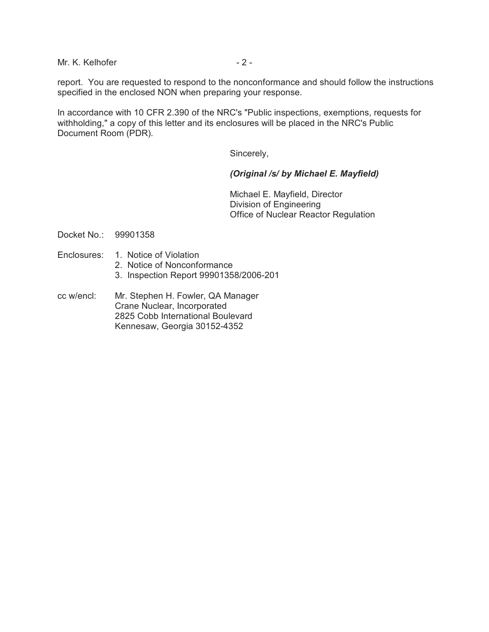Mr. K. Kelhofer - 2 -

report. You are requested to respond to the nonconformance and should follow the instructions specified in the enclosed NON when preparing your response.

In accordance with 10 CFR 2.390 of the NRC's "Public inspections, exemptions, requests for withholding," a copy of this letter and its enclosures will be placed in the NRC's Public Document Room (PDR).

Sincerely,

#### *(Original /s/ by Michael E. Mayfield)*

Michael E. Mayfield, Director Division of Engineering Office of Nuclear Reactor Regulation

Docket No.: 99901358

- Enclosures: 1. Notice of Violation
	- 2. Notice of Nonconformance
	- 3. Inspection Report 99901358/2006-201
- cc w/encl: Mr. Stephen H. Fowler, QA Manager Crane Nuclear, Incorporated 2825 Cobb International Boulevard Kennesaw, Georgia 30152-4352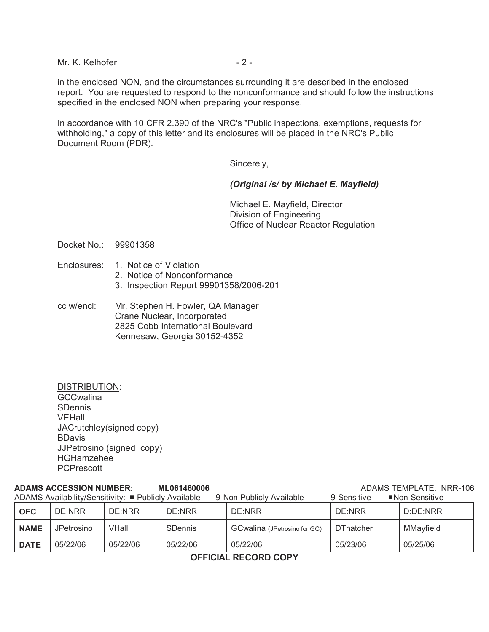Mr. K. Kelhofer - 2 -

in the enclosed NON, and the circumstances surrounding it are described in the enclosed report. You are requested to respond to the nonconformance and should follow the instructions specified in the enclosed NON when preparing your response.

In accordance with 10 CFR 2.390 of the NRC's "Public inspections, exemptions, requests for withholding," a copy of this letter and its enclosures will be placed in the NRC's Public Document Room (PDR).

Sincerely,

#### *(Original /s/ by Michael E. Mayfield)*

Michael E. Mayfield, Director Division of Engineering Office of Nuclear Reactor Regulation

Docket No.: 99901358

- Enclosures: 1. Notice of Violation
	- 2. Notice of Nonconformance
	- 3. Inspection Report 99901358/2006-201
- cc w/encl: Mr. Stephen H. Fowler, QA Manager Crane Nuclear, Incorporated 2825 Cobb International Boulevard Kennesaw, Georgia 30152-4352

DISTRIBUTION: **GCCwalina** SDennis VEHall JACrutchley(signed copy) BDavis JJPetrosino (signed copy) HGHamzehee **PCPrescott** 

#### **ADAMS ACCESSION NUMBER: ML061460006** ADAMS TEMPLATE: NRR-106 ADAMS Availability/Sensitivity: # Publicly Available 9 Non-Publicly Available 9 Sensitive #Non-Sensitive

| ADAMS AVailability/Sensitivity: ■ Publiciy Available<br>9 Non-Publicty Available<br>9 Sensitive<br>■NON-SENSITIVE |            |          |                |                              |                  |           |  |
|-------------------------------------------------------------------------------------------------------------------|------------|----------|----------------|------------------------------|------------------|-----------|--|
| <b>OFC</b>                                                                                                        | DE:NRR     | DE:NRR   | DE:NRR         | DE:NRR                       | DE:NRR           | D:DE:NRR  |  |
| <b>NAME</b>                                                                                                       | JPetrosino | VHall    | <b>SDennis</b> | GCwalina (JPetrosino for GC) | <b>DThatcher</b> | MMayfield |  |
| <b>DATE</b>                                                                                                       | 05/22/06   | 05/22/06 | 05/22/06       | 05/22/06                     | 05/23/06         | 05/25/06  |  |

#### **OFFICIAL RECORD COPY**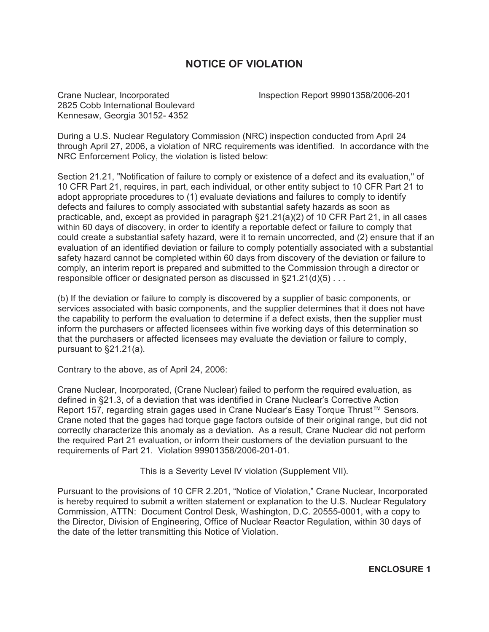## **NOTICE OF VIOLATION**

2825 Cobb International Boulevard Kennesaw, Georgia 30152- 4352

Crane Nuclear, Incorporated Inspection Report 99901358/2006-201

During a U.S. Nuclear Regulatory Commission (NRC) inspection conducted from April 24 through April 27, 2006, a violation of NRC requirements was identified. In accordance with the NRC Enforcement Policy, the violation is listed below:

Section 21.21, "Notification of failure to comply or existence of a defect and its evaluation," of 10 CFR Part 21, requires, in part, each individual, or other entity subject to 10 CFR Part 21 to adopt appropriate procedures to (1) evaluate deviations and failures to comply to identify defects and failures to comply associated with substantial safety hazards as soon as practicable, and, except as provided in paragraph §21.21(a)(2) of 10 CFR Part 21, in all cases within 60 days of discovery, in order to identify a reportable defect or failure to comply that could create a substantial safety hazard, were it to remain uncorrected, and (2) ensure that if an evaluation of an identified deviation or failure to comply potentially associated with a substantial safety hazard cannot be completed within 60 days from discovery of the deviation or failure to comply, an interim report is prepared and submitted to the Commission through a director or responsible officer or designated person as discussed in §21.21(d)(5) . . .

(b) If the deviation or failure to comply is discovered by a supplier of basic components, or services associated with basic components, and the supplier determines that it does not have the capability to perform the evaluation to determine if a defect exists, then the supplier must inform the purchasers or affected licensees within five working days of this determination so that the purchasers or affected licensees may evaluate the deviation or failure to comply, pursuant to §21.21(a).

Contrary to the above, as of April 24, 2006:

Crane Nuclear, Incorporated, (Crane Nuclear) failed to perform the required evaluation, as defined in §21.3, of a deviation that was identified in Crane Nuclear's Corrective Action Report 157, regarding strain gages used in Crane Nuclear's Easy Torque Thrust™ Sensors. Crane noted that the gages had torque gage factors outside of their original range, but did not correctly characterize this anomaly as a deviation. As a result, Crane Nuclear did not perform the required Part 21 evaluation, or inform their customers of the deviation pursuant to the requirements of Part 21. Violation 99901358/2006-201-01.

This is a Severity Level IV violation (Supplement VII).

Pursuant to the provisions of 10 CFR 2.201, "Notice of Violation," Crane Nuclear, Incorporated is hereby required to submit a written statement or explanation to the U.S. Nuclear Regulatory Commission, ATTN: Document Control Desk, Washington, D.C. 20555-0001, with a copy to the Director, Division of Engineering, Office of Nuclear Reactor Regulation, within 30 days of the date of the letter transmitting this Notice of Violation.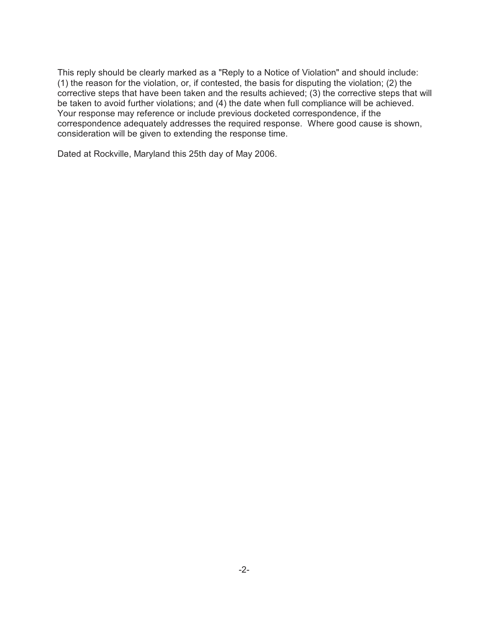This reply should be clearly marked as a "Reply to a Notice of Violation" and should include: (1) the reason for the violation, or, if contested, the basis for disputing the violation; (2) the corrective steps that have been taken and the results achieved; (3) the corrective steps that will be taken to avoid further violations; and (4) the date when full compliance will be achieved. Your response may reference or include previous docketed correspondence, if the correspondence adequately addresses the required response. Where good cause is shown, consideration will be given to extending the response time.

Dated at Rockville, Maryland this 25th day of May 2006.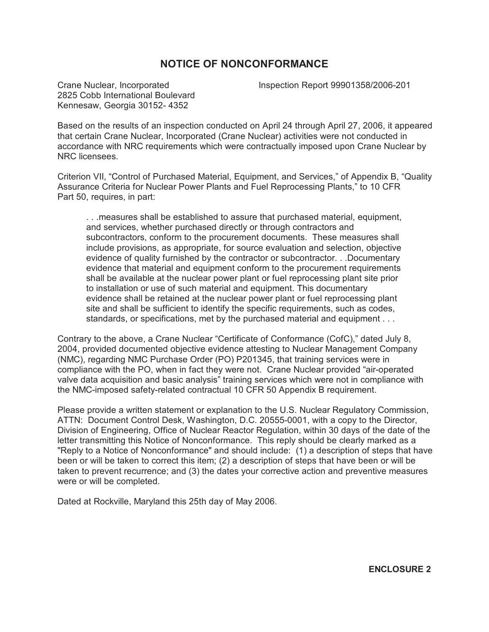### **NOTICE OF NONCONFORMANCE**

2825 Cobb International Boulevard Kennesaw, Georgia 30152- 4352

Crane Nuclear, Incorporated Inspection Report 99901358/2006-201

Based on the results of an inspection conducted on April 24 through April 27, 2006, it appeared that certain Crane Nuclear, Incorporated (Crane Nuclear) activities were not conducted in accordance with NRC requirements which were contractually imposed upon Crane Nuclear by NRC licensees.

Criterion VII, "Control of Purchased Material, Equipment, and Services," of Appendix B, "Quality Assurance Criteria for Nuclear Power Plants and Fuel Reprocessing Plants," to 10 CFR Part 50, requires, in part:

. . .measures shall be established to assure that purchased material, equipment, and services, whether purchased directly or through contractors and subcontractors, conform to the procurement documents. These measures shall include provisions, as appropriate, for source evaluation and selection, objective evidence of quality furnished by the contractor or subcontractor. . .Documentary evidence that material and equipment conform to the procurement requirements shall be available at the nuclear power plant or fuel reprocessing plant site prior to installation or use of such material and equipment. This documentary evidence shall be retained at the nuclear power plant or fuel reprocessing plant site and shall be sufficient to identify the specific requirements, such as codes, standards, or specifications, met by the purchased material and equipment . . .

Contrary to the above, a Crane Nuclear "Certificate of Conformance (CofC)," dated July 8, 2004, provided documented objective evidence attesting to Nuclear Management Company (NMC), regarding NMC Purchase Order (PO) P201345, that training services were in compliance with the PO, when in fact they were not. Crane Nuclear provided "air-operated valve data acquisition and basic analysis" training services which were not in compliance with the NMC-imposed safety-related contractual 10 CFR 50 Appendix B requirement.

Please provide a written statement or explanation to the U.S. Nuclear Regulatory Commission, ATTN: Document Control Desk, Washington, D.C. 20555-0001, with a copy to the Director, Division of Engineering, Office of Nuclear Reactor Regulation, within 30 days of the date of the letter transmitting this Notice of Nonconformance. This reply should be clearly marked as a "Reply to a Notice of Nonconformance" and should include: (1) a description of steps that have been or will be taken to correct this item; (2) a description of steps that have been or will be taken to prevent recurrence; and (3) the dates your corrective action and preventive measures were or will be completed.

Dated at Rockville, Maryland this 25th day of May 2006.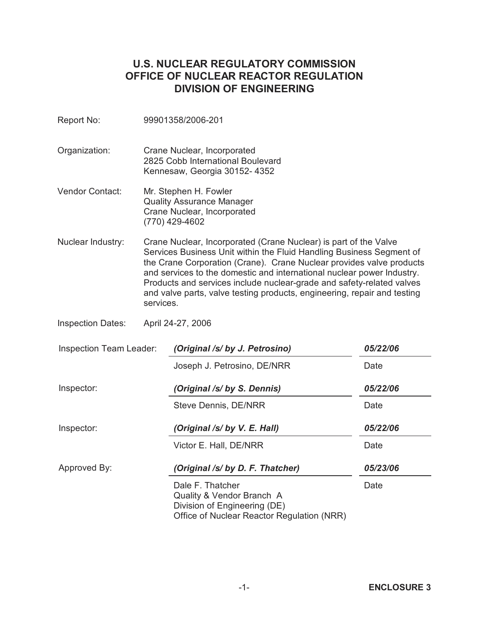# **U.S. NUCLEAR REGULATORY COMMISSION OFFICE OF NUCLEAR REACTOR REGULATION DIVISION OF ENGINEERING**

| Report No:               |           | 99901358/2006-201                                                                                                                                                                                                                                                                                                                                                                                                                               |          |  |  |  |
|--------------------------|-----------|-------------------------------------------------------------------------------------------------------------------------------------------------------------------------------------------------------------------------------------------------------------------------------------------------------------------------------------------------------------------------------------------------------------------------------------------------|----------|--|--|--|
| Organization:            |           | Crane Nuclear, Incorporated<br>2825 Cobb International Boulevard<br>Kennesaw, Georgia 30152-4352                                                                                                                                                                                                                                                                                                                                                |          |  |  |  |
| <b>Vendor Contact:</b>   |           | Mr. Stephen H. Fowler<br><b>Quality Assurance Manager</b><br>Crane Nuclear, Incorporated<br>(770) 429-4602                                                                                                                                                                                                                                                                                                                                      |          |  |  |  |
| Nuclear Industry:        | services. | Crane Nuclear, Incorporated (Crane Nuclear) is part of the Valve<br>Services Business Unit within the Fluid Handling Business Segment of<br>the Crane Corporation (Crane). Crane Nuclear provides valve products<br>and services to the domestic and international nuclear power Industry.<br>Products and services include nuclear-grade and safety-related valves<br>and valve parts, valve testing products, engineering, repair and testing |          |  |  |  |
| <b>Inspection Dates:</b> |           | April 24-27, 2006                                                                                                                                                                                                                                                                                                                                                                                                                               |          |  |  |  |
| Inspection Team Leader:  |           | (Original /s/ by J. Petrosino)                                                                                                                                                                                                                                                                                                                                                                                                                  | 05/22/06 |  |  |  |
|                          |           | Joseph J. Petrosino, DE/NRR                                                                                                                                                                                                                                                                                                                                                                                                                     | Date     |  |  |  |
| Inspector:               |           | (Original /s/ by S. Dennis)                                                                                                                                                                                                                                                                                                                                                                                                                     | 05/22/06 |  |  |  |
|                          |           | <b>Steve Dennis, DE/NRR</b>                                                                                                                                                                                                                                                                                                                                                                                                                     | Date     |  |  |  |
| Inspector:               |           | (Original /s/ by V. E. Hall)                                                                                                                                                                                                                                                                                                                                                                                                                    | 05/22/06 |  |  |  |
|                          |           | Victor E. Hall, DE/NRR                                                                                                                                                                                                                                                                                                                                                                                                                          | Date     |  |  |  |
| Approved By:             |           | (Original /s/ by D. F. Thatcher)                                                                                                                                                                                                                                                                                                                                                                                                                | 05/23/06 |  |  |  |

Dale F. Thatcher Quality & Vendor Branch A Division of Engineering (DE) Office of Nuclear Reactor Regulation (NRR)  $\overline{\phantom{a}}$ 

Date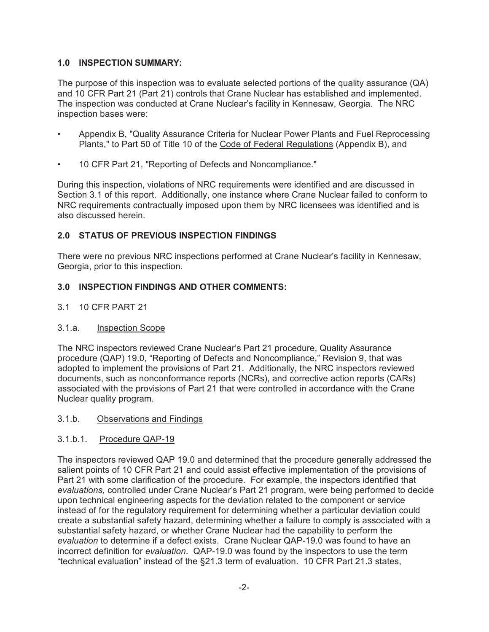### **1.0 INSPECTION SUMMARY:**

The purpose of this inspection was to evaluate selected portions of the quality assurance (QA) and 10 CFR Part 21 (Part 21) controls that Crane Nuclear has established and implemented. The inspection was conducted at Crane Nuclear's facility in Kennesaw, Georgia. The NRC inspection bases were:

- Appendix B, "Quality Assurance Criteria for Nuclear Power Plants and Fuel Reprocessing Plants," to Part 50 of Title 10 of the Code of Federal Regulations (Appendix B), and
- 10 CFR Part 21, "Reporting of Defects and Noncompliance."

During this inspection, violations of NRC requirements were identified and are discussed in Section 3.1 of this report. Additionally, one instance where Crane Nuclear failed to conform to NRC requirements contractually imposed upon them by NRC licensees was identified and is also discussed herein.

#### **2.0 STATUS OF PREVIOUS INSPECTION FINDINGS**

There were no previous NRC inspections performed at Crane Nuclear's facility in Kennesaw, Georgia, prior to this inspection.

#### **3.0 INSPECTION FINDINGS AND OTHER COMMENTS:**

3.1 10 CFR PART 21

#### 3.1.a. Inspection Scope

The NRC inspectors reviewed Crane Nuclear's Part 21 procedure, Quality Assurance procedure (QAP) 19.0, "Reporting of Defects and Noncompliance," Revision 9, that was adopted to implement the provisions of Part 21. Additionally, the NRC inspectors reviewed documents, such as nonconformance reports (NCRs), and corrective action reports (CARs) associated with the provisions of Part 21 that were controlled in accordance with the Crane Nuclear quality program.

#### 3.1.b. Observations and Findings

#### 3.1.b.1. Procedure QAP-19

The inspectors reviewed QAP 19.0 and determined that the procedure generally addressed the salient points of 10 CFR Part 21 and could assist effective implementation of the provisions of Part 21 with some clarification of the procedure. For example, the inspectors identified that *evaluations*, controlled under Crane Nuclear's Part 21 program, were being performed to decide upon technical engineering aspects for the deviation related to the component or service instead of for the regulatory requirement for determining whether a particular deviation could create a substantial safety hazard, determining whether a failure to comply is associated with a substantial safety hazard, or whether Crane Nuclear had the capability to perform the *evaluation* to determine if a defect exists. Crane Nuclear QAP-19.0 was found to have an incorrect definition for *evaluation*. QAP-19.0 was found by the inspectors to use the term "technical evaluation" instead of the §21.3 term of evaluation. 10 CFR Part 21.3 states,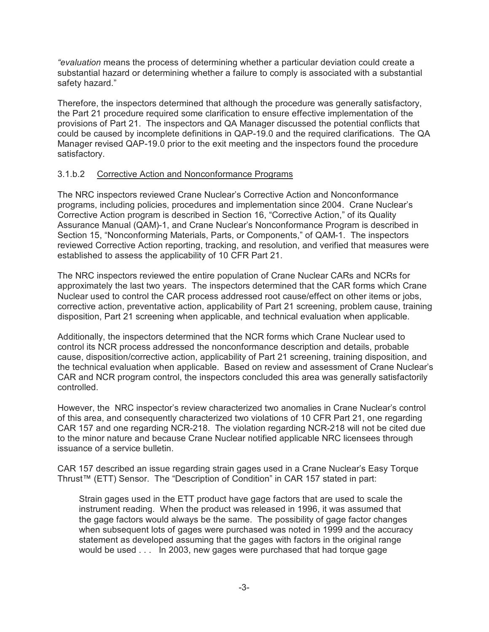*"evaluation* means the process of determining whether a particular deviation could create a substantial hazard or determining whether a failure to comply is associated with a substantial safety hazard."

Therefore, the inspectors determined that although the procedure was generally satisfactory, the Part 21 procedure required some clarification to ensure effective implementation of the provisions of Part 21. The inspectors and QA Manager discussed the potential conflicts that could be caused by incomplete definitions in QAP-19.0 and the required clarifications. The QA Manager revised QAP-19.0 prior to the exit meeting and the inspectors found the procedure satisfactory.

#### 3.1.b.2 Corrective Action and Nonconformance Programs

The NRC inspectors reviewed Crane Nuclear's Corrective Action and Nonconformance programs, including policies, procedures and implementation since 2004. Crane Nuclear's Corrective Action program is described in Section 16, "Corrective Action," of its Quality Assurance Manual (QAM)-1, and Crane Nuclear's Nonconformance Program is described in Section 15, "Nonconforming Materials, Parts, or Components," of QAM-1. The inspectors reviewed Corrective Action reporting, tracking, and resolution, and verified that measures were established to assess the applicability of 10 CFR Part 21.

The NRC inspectors reviewed the entire population of Crane Nuclear CARs and NCRs for approximately the last two years. The inspectors determined that the CAR forms which Crane Nuclear used to control the CAR process addressed root cause/effect on other items or jobs, corrective action, preventative action, applicability of Part 21 screening, problem cause, training disposition, Part 21 screening when applicable, and technical evaluation when applicable.

Additionally, the inspectors determined that the NCR forms which Crane Nuclear used to control its NCR process addressed the nonconformance description and details, probable cause, disposition/corrective action, applicability of Part 21 screening, training disposition, and the technical evaluation when applicable. Based on review and assessment of Crane Nuclear's CAR and NCR program control, the inspectors concluded this area was generally satisfactorily controlled.

However, the NRC inspector's review characterized two anomalies in Crane Nuclear's control of this area, and consequently characterized two violations of 10 CFR Part 21, one regarding CAR 157 and one regarding NCR-218. The violation regarding NCR-218 will not be cited due to the minor nature and because Crane Nuclear notified applicable NRC licensees through issuance of a service bulletin.

CAR 157 described an issue regarding strain gages used in a Crane Nuclear's Easy Torque Thrust™ (ETT) Sensor. The "Description of Condition" in CAR 157 stated in part:

Strain gages used in the ETT product have gage factors that are used to scale the instrument reading. When the product was released in 1996, it was assumed that the gage factors would always be the same. The possibility of gage factor changes when subsequent lots of gages were purchased was noted in 1999 and the accuracy statement as developed assuming that the gages with factors in the original range would be used . . . In 2003, new gages were purchased that had torque gage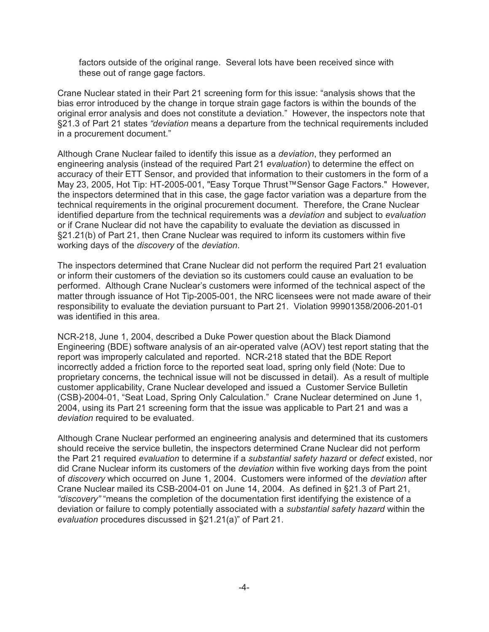factors outside of the original range. Several lots have been received since with these out of range gage factors.

Crane Nuclear stated in their Part 21 screening form for this issue: "analysis shows that the bias error introduced by the change in torque strain gage factors is within the bounds of the original error analysis and does not constitute a deviation." However, the inspectors note that §21.3 of Part 21 states *"deviation* means a departure from the technical requirements included in a procurement document."

Although Crane Nuclear failed to identify this issue as a *deviation*, they performed an engineering analysis (instead of the required Part 21 *evaluation*) to determine the effect on accuracy of their ETT Sensor, and provided that information to their customers in the form of a May 23, 2005, Hot Tip: HT-2005-001, "Easy Torque Thrust™Sensor Gage Factors." However, the inspectors determined that in this case, the gage factor variation was a departure from the technical requirements in the original procurement document. Therefore, the Crane Nuclear identified departure from the technical requirements was a *deviation* and subject to *evaluation* or if Crane Nuclear did not have the capability to evaluate the deviation as discussed in §21.21(b) of Part 21, then Crane Nuclear was required to inform its customers within five working days of the *discovery* of the *deviation*.

The inspectors determined that Crane Nuclear did not perform the required Part 21 evaluation or inform their customers of the deviation so its customers could cause an evaluation to be performed. Although Crane Nuclear's customers were informed of the technical aspect of the matter through issuance of Hot Tip-2005-001, the NRC licensees were not made aware of their responsibility to evaluate the deviation pursuant to Part 21. Violation 99901358/2006-201-01 was identified in this area.

NCR-218, June 1, 2004, described a Duke Power question about the Black Diamond Engineering (BDE) software analysis of an air-operated valve (AOV) test report stating that the report was improperly calculated and reported. NCR-218 stated that the BDE Report incorrectly added a friction force to the reported seat load, spring only field (Note: Due to proprietary concerns, the technical issue will not be discussed in detail). As a result of multiple customer applicability, Crane Nuclear developed and issued a Customer Service Bulletin (CSB)-2004-01, "Seat Load, Spring Only Calculation." Crane Nuclear determined on June 1, 2004, using its Part 21 screening form that the issue was applicable to Part 21 and was a *deviation* required to be evaluated.

Although Crane Nuclear performed an engineering analysis and determined that its customers should receive the service bulletin, the inspectors determined Crane Nuclear did not perform the Part 21 required *evaluation* to determine if a *substantial safety hazard* or *defect* existed, nor did Crane Nuclear inform its customers of the *deviation* within five working days from the point of *discovery* which occurred on June 1, 2004. Customers were informed of the *deviation* after Crane Nuclear mailed its CSB-2004-01 on June 14, 2004. As defined in §21.3 of Part 21, *"discovery"* "means the completion of the documentation first identifying the existence of a deviation or failure to comply potentially associated with a *substantial safety hazard* within the *evaluation* procedures discussed in §21.21(a)" of Part 21.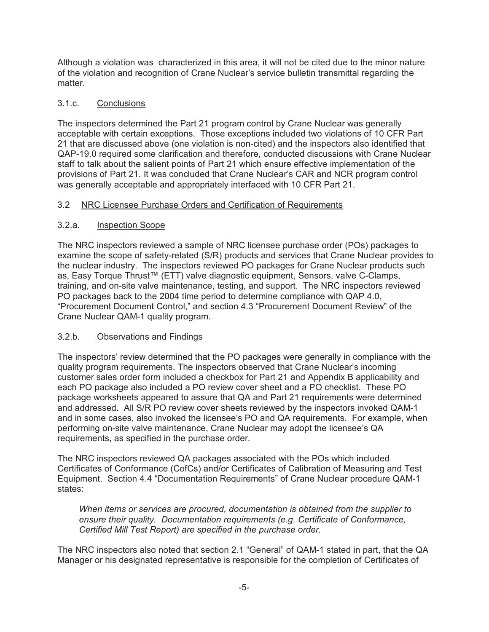Although a violation was characterized in this area, it will not be cited due to the minor nature of the violation and recognition of Crane Nuclear's service bulletin transmittal regarding the matter.

### 3.1.c. Conclusions

The inspectors determined the Part 21 program control by Crane Nuclear was generally acceptable with certain exceptions. Those exceptions included two violations of 10 CFR Part 21 that are discussed above (one violation is non-cited) and the inspectors also identified that QAP-19.0 required some clarification and therefore, conducted discussions with Crane Nuclear staff to talk about the salient points of Part 21 which ensure effective implementation of the provisions of Part 21. It was concluded that Crane Nuclear's CAR and NCR program control was generally acceptable and appropriately interfaced with 10 CFR Part 21.

#### 3.2 NRC Licensee Purchase Orders and Certification of Requirements

#### 3.2.a. Inspection Scope

The NRC inspectors reviewed a sample of NRC licensee purchase order (POs) packages to examine the scope of safety-related (S/R) products and services that Crane Nuclear provides to the nuclear industry. The inspectors reviewed PO packages for Crane Nuclear products such as, Easy Torque Thrust™ (ETT) valve diagnostic equipment, Sensors, valve C-Clamps, training, and on-site valve maintenance, testing, and support. The NRC inspectors reviewed PO packages back to the 2004 time period to determine compliance with QAP 4.0, "Procurement Document Control," and section 4.3 "Procurement Document Review" of the Crane Nuclear QAM-1 quality program.

#### 3.2.b. Observations and Findings

The inspectors' review determined that the PO packages were generally in compliance with the quality program requirements. The inspectors observed that Crane Nuclear's incoming customer sales order form included a checkbox for Part 21 and Appendix B applicability and each PO package also included a PO review cover sheet and a PO checklist. These PO package worksheets appeared to assure that QA and Part 21 requirements were determined and addressed. All S/R PO review cover sheets reviewed by the inspectors invoked QAM-1 and in some cases, also invoked the licensee's PO and QA requirements. For example, when performing on-site valve maintenance, Crane Nuclear may adopt the licensee's QA requirements, as specified in the purchase order.

The NRC inspectors reviewed QA packages associated with the POs which included Certificates of Conformance (CofCs) and/or Certificates of Calibration of Measuring and Test Equipment. Section 4.4 "Documentation Requirements" of Crane Nuclear procedure QAM-1 states:

*When items or services are procured, documentation is obtained from the supplier to ensure their quality. Documentation requirements (e.g. Certificate of Conformance, Certified Mill Test Report) are specified in the purchase order.* 

The NRC inspectors also noted that section 2.1 "General" of QAM-1 stated in part, that the QA Manager or his designated representative is responsible for the completion of Certificates of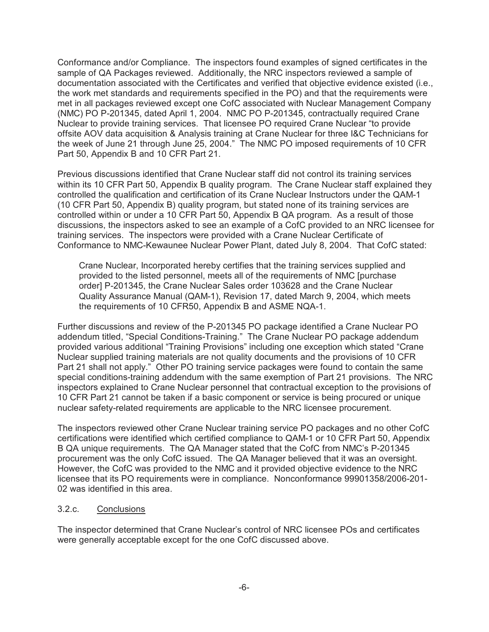Conformance and/or Compliance. The inspectors found examples of signed certificates in the sample of QA Packages reviewed. Additionally, the NRC inspectors reviewed a sample of documentation associated with the Certificates and verified that objective evidence existed (i.e., the work met standards and requirements specified in the PO) and that the requirements were met in all packages reviewed except one CofC associated with Nuclear Management Company (NMC) PO P-201345, dated April 1, 2004. NMC PO P-201345, contractually required Crane Nuclear to provide training services. That licensee PO required Crane Nuclear "to provide offsite AOV data acquisition & Analysis training at Crane Nuclear for three I&C Technicians for the week of June 21 through June 25, 2004." The NMC PO imposed requirements of 10 CFR Part 50, Appendix B and 10 CFR Part 21.

Previous discussions identified that Crane Nuclear staff did not control its training services within its 10 CFR Part 50, Appendix B quality program. The Crane Nuclear staff explained they controlled the qualification and certification of its Crane Nuclear Instructors under the QAM-1 (10 CFR Part 50, Appendix B) quality program, but stated none of its training services are controlled within or under a 10 CFR Part 50, Appendix B QA program. As a result of those discussions, the inspectors asked to see an example of a CofC provided to an NRC licensee for training services. The inspectors were provided with a Crane Nuclear Certificate of Conformance to NMC-Kewaunee Nuclear Power Plant, dated July 8, 2004. That CofC stated:

Crane Nuclear, Incorporated hereby certifies that the training services supplied and provided to the listed personnel, meets all of the requirements of NMC [purchase order] P-201345, the Crane Nuclear Sales order 103628 and the Crane Nuclear Quality Assurance Manual (QAM-1), Revision 17, dated March 9, 2004, which meets the requirements of 10 CFR50, Appendix B and ASME NQA-1.

Further discussions and review of the P-201345 PO package identified a Crane Nuclear PO addendum titled, "Special Conditions-Training." The Crane Nuclear PO package addendum provided various additional "Training Provisions" including one exception which stated "Crane Nuclear supplied training materials are not quality documents and the provisions of 10 CFR Part 21 shall not apply." Other PO training service packages were found to contain the same special conditions-training addendum with the same exemption of Part 21 provisions. The NRC inspectors explained to Crane Nuclear personnel that contractual exception to the provisions of 10 CFR Part 21 cannot be taken if a basic component or service is being procured or unique nuclear safety-related requirements are applicable to the NRC licensee procurement.

The inspectors reviewed other Crane Nuclear training service PO packages and no other CofC certifications were identified which certified compliance to QAM-1 or 10 CFR Part 50, Appendix B QA unique requirements. The QA Manager stated that the CofC from NMC's P-201345 procurement was the only CofC issued. The QA Manager believed that it was an oversight. However, the CofC was provided to the NMC and it provided objective evidence to the NRC licensee that its PO requirements were in compliance. Nonconformance 99901358/2006-201- 02 was identified in this area.

#### 3.2.c. Conclusions

The inspector determined that Crane Nuclear's control of NRC licensee POs and certificates were generally acceptable except for the one CofC discussed above.